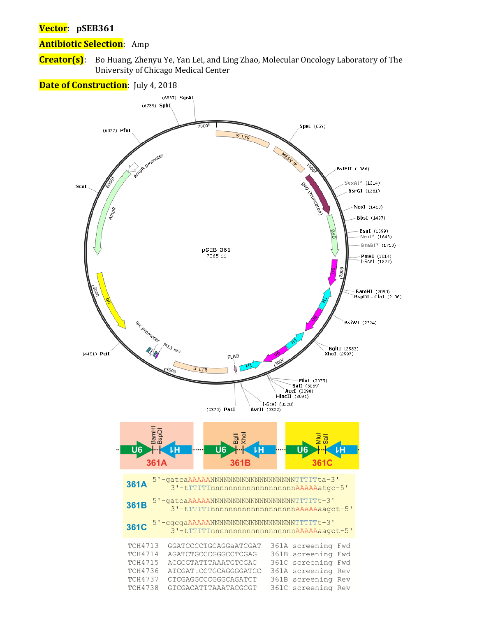#### **Vector**: **pSEB361**

#### **Antibiotic Selection**: Amp

**Creator(s)**: Bo Huang, Zhenyu Ye, Yan Lei, and Ling Zhao, Molecular Oncology Laboratory of The University of Chicago Medical Center

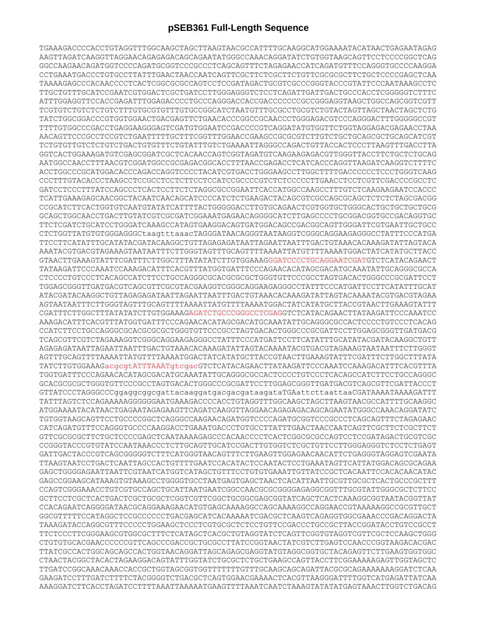## **pSEB361 Full-Length Sequence**

TGAAAGACCCCACCTGTAGGTTTGGCAAGCTAGCTTAAGTAACGCCATTTTGCAAGGCATGGAAAATACATAACTGAGAATAGAG AAGTTAGATCAAGGTTAGGAACAGAGAGACAGCAGAATATGGGCCAAACAGGATATCTGTGGTAAGCAGTTCCTCCCCGGCTCAG GGCCAAGAACAGATGGTCCCCAGATGCGGTCCCGCCCTCAGCAGTTTCTAGAGAACCATCAGATGTTTCCAGGGTGCCCCAAGGA CCTGAAATGACCCTGTGCCTTATTTGAACTAACCAATCAGTTCGCTTCTCGCTTCTGTTCGCGCGCTTCTGCTCCCCGAGCTCAA TAAAAGAGCCCACAACCCCTCACTCGGCGCGCCAGTCCTCCGATAGACTGCGTCGCCCGGGTACCCGTATTCCCAATAAAGCCTC TTGCTGTTTGCATCCGAATCGTGGACTCGCTGATCCTTGGGAGGGTCTCCTCAGATTGATTGACTGCCCACCTCGGGGGTCTTTC ATTTGGAGGTTCCACCGAGATTTGGAGACCCCTGCCCAGGGACCACCGACCCCCCCGCCGGGAGGTAAGCTGGCCAGCGGTCGTT TCGTGTCTGTCTCTGTCTTTGTGCGTGTTTGTGCCGGCATCTAATGTTTGCGCCTGCGTCTGTACTAGTTAGCTAACTAGCTCTG TATCTGGCGGACCCGTGGTGGAACTGACGAGTTCTGAACACCCGGCCGCAACCCTGGGAGACGTCCCAGGGACTTTGGGGGCCGT TTTTGTGGCCCGACCTGAGGAAGGGAGTCGATGTGGAATCCGACCCCGTCAGGATATGTGGTTCTGGTAGGAGACGAGAACCTAA AACAGTTCCCGCCTCCGTCTGAATTTTTGCTTTCGGTTTGGAACCGAAGCCGCGCGTCTTGTCTGCTGCAGCGCTGCAGCATCGT TCTGTGTTGTCTCTGTCTGACTGTGTTTCTGTATTTGTCTGAAAATTAGGGCCAGACTGTTACCACTCCCTTAAGTTTGACCTTA GGTCACTGGAAAGATGTCGAGCGGATCGCTCACAACCAGTCGGTAGATGTCAAGAAGAGACGTTGGGTTACCTTCTGCTCTGCAG AATGGCCAACCTTTAACGTCGGATGGCCGCGAGACGGCACCTTTAACCGAGACCTCATCACCCAGGTTAAGATCAAGGTCTTTTC ACCTGGCCCGCATGGACACCCAGACCAGGTCCCCTACATCGTGACCTGGGAAGCCTTGGCTTTTGACCCCCCTCCCTGGGTCAAG CCCTTTGTACACCCTAAGCCTCCGCCTCCTCTTCCTCCATCCGCCCCGTCTCTCCCCCTTGAACCTCCTCGTTCGACCCCGCCTC GATCCTCCCTTTATCCAGCCCTCACTCCTTCTCTAGGCGCCGGAATTCACCATGGCCAAGCCTTTGTCTCAAGAAGAATCCACCC TCATTGAAAGAGCAACGGCTACAATCAACAGCATCCCCATCTCTGAAGACTACAGCGTCGCCAGCGCAGCTCTCTCTAGCGACGG CCGCATCTTCACTGGTGTCAATGTATATCATTTTACTGGGGGACCTTGTGCAGAACTCGTGGTGCTGGGCACTGCTGCTGCTGCG GCAGCTGGCAACCTGACTTGTATCGTCGCGATCGGAAATGAGAACAGGGGCATCTTGAGCCCCTGCGGACGGTGCCGACAGGTGC TTCTCGATCTGCATCCTGGGATCAAAGCCATAGTGAAGGACAGTGATGGACAGCCGACGGCAGTTGGGATTCGTGAATTGCTGCC CTCTGGTTATGTGTGGGAGGGCtaagtttaaacTAGGGATAACAGGGTAATAAGGTCGGGCAGGAAGAGGGCCTATTTCCCATGA TTCCTTCATATTTGCATATACGATACAAGGCTGTTAGAGAGATAATTAGAATTAATTTGACTGTAAACACAAAGATATTAGTACA AAATACGTGACGTAGAAAGTAATAATTTCTTGGGTAGTTTGCAGTTTTAAAATTATGTTTTAAAATGGACTATCATATGCTTACC GTAACTTGAAAGTATTTCGATTTCTTGGCTTTATATATCTTGTGGAAAGGGATCCCCTGCAGGAATCGATGTCTCATACAGAACT TATAAGATTCCCAAATCCAAAGACATTTCACGTTTATGGTGATTTCCCAGAACACATAGCGACATGCAAATATTGCAGGGCGCCA CTCCCCTGTCCCTCACAGCCATCTTCCTGCCAGGGCGCACGCGCGCTGGGTGTTCCCGCCTAGTGACACTGGGCCCGCGATTCCT TGGAGCGGGTTGATGACGTCAGCGTTCGCGTACGAAGGTCGGGCAGGAAGAGGGCCTATTTCCCATGATTCCTTCATATTTGCAT ATACGATACAAGGCTGTTAGAGAGATAATTAGAATTAATTTGACTGTAAACACAAAGATATTAGTACAAAATACGTGACGTAGAA AGTAATAATTTCTTGGGTAGTTTGCAGTTTTAAAATTATGTTTTAAAATGGACTATCATATGCTTACCGTAACTTGAAAGTATTT CGATTTCTTGGCTTTATATATCTTGTGGAAAGAGATCTGCCCGGGCCTCGAGGTCTCATACAGAACTTATAAGATTCCCAAATCC AAAGACATTTCACGTTTATGGTGATTTCCCAGAACACATAGCGACATGCAAATATTGCAGGGCGCCACTCCCCTGTCCCTCACAG CCATCTTCCTGCCAGGGCGCACGCGCGCTGGGTGTTCCCGCCTAGTGACACTGGGCCCGCGATTCCTTGGAGCGGGTTGATGACG TCAGCGTTCGTCTAGAAAGGTCGGGCAGGAAGAGGGCCTATTTCCCATGATTCCTTCATATTTGCATATACGATACAAGGCTGTT AGAGAGATAATTAGAATTAATTTGACTGTAAACACAAAGATATTAGTACAAAATACGTGACGTAGAAAGTAATAATTTCTTGGGT AGTTTGCAGTTTTAAAATTATGTTTTAAAATGGACTATCATATGCTTACCGTAACTTGAAAGTATTTCGATTTCTTGGCTTTATA TATCTTGTGGAAAGacgcgtATTTAAATgtcgacGTCTCATACAGAACTTATAAGATTCCCAAATCCAAAGACATTTCACGTTTA TGGTGATTTCCCAGAACACATAGCGACATGCAAATATTGCAGGGCGCCACTCCCCTGTCCCTCACAGCCATCTTCCTGCCAGGGC GCACGCGCGCTGGGTGTTCCCGCCTAGTGACACTGGGCCCGCGATTCCTTGGAGCGGGTTGATGACGTCAGCGTTCGATTACCCT GTTATCCCTAGGGCCCggaggcggcgattacaaggatgacgacgataagataTGAattcttaattaaCGATAAAATAAAAGATTT TATTTAGTCTCCAGAAAAAGGGGGGAATGAAAGACCCCACCTGTAGGTTTGGCAAGCTAGCTTAAGTAACGCCATTTTGCAAGGC ATGGAAAATACATAACTGAGAATAGAGAAGTTCAGATCAAGGTTAGGAACAGAGAGACAGCAGAATATGGGCCAAACAGGATATC TGTGGTAAGCAGTTCCTGCCCCGGCTCAGGGCCAAGAACAGATGGTCCCCAGATGCGGTCCCGCCCTCAGCAGTTTCTAGAGAAC CATCAGATGTTTCCAGGGTGCCCCAAGGACCTGAAATGACCCTGTGCCTTATTTGAACTAACCAATCAGTTCGCTTCTCGCTTCT GTTCGCGCGCTTCTGCTCCCCGAGCTCAATAAAAGAGCCCACAACCCCTCACTCGGCGCGCCAGTCCTCCGATAGACTGCGTCGC CCGGGTACCCGTGTATCCAATAAACCCTCTTGCAGTTGCATCCGACTTGTGGTCTCGCTGTTCCTTGGGAGGGTCTCCTCTGAGT GATTGACTACCCGTCAGCGGGGGTCTTTCATGGGTAACAGTTTCTTGAAGTTGGAGAACAACATTCTGAGGGTAGGAGTCGAATA TTAAGTAATCCTGACTCAATTAGCCACTGTTTTGAATCCACATACTCCAATACTCCTGAAATAGTTCATTATGGACAGCGCAGAA GAGCTGGGGAGAATTAATTCGTAATCATGGTCATAGCTGTTTCCTGTGTGAAATTGTTATCCGCTCACAATTCCACACAACATAC GAGCCGGAAGCATAAAGTGTAAAGCCTGGGGTGCCTAATGAGTGAGCTAACTCACATTAATTGCGTTGCGCTCACTGCCCGCTTT CCAGTCGGGAAACCTGTCGTGCCAGCTGCATTAATGAATCGGCCAACGCGCGGGGAGAGGCGGTTTGCGTATTGGGCGCTCTTCC GCTTCCTCGCTCACTGACTCGCTGCGCTCGGTCGTTCGGCTGCGGCGAGCGGTATCAGCTCACTCAAAGGCGGTAATACGGTTAT CCACAGAATCAGGGGATAACGCAGGAAAGAACATGTGAGCAAAAGGCCAGCAAAAGGCCAGGAACCGTAAAAAGGCCGCGTTGCT GGCGTTTTTCCATAGGCTCCGCCCCCCTGACGAGCATCACAAAAATCGACGCTCAAGTCAGAGGTGGCGAAACCCGACAGGACTA TAAAGATACCAGGCGTTTCCCCCTGGAAGCTCCCTCGTGCGCTCTCCTGTTCCGACCCTGCCGCTTACCGGATACCTGTCCGCCT TTCTCCCTTCGGGAAGCGTGGCGCTTTCTCATAGCTCACGCTGTAGGTATCTCAGTTCGGTGTAGGTCGTTCGCTCCAAGCTGGG CTGTGTGCACGAACCCCCCGTTCAGCCCGACCGCTGCGCCTTATCCGGTAACTATCGTCTTGAGTCCAACCCGGTAAGACACGAC TTATCGCCACTGGCAGCAGCCACTGGTAACAGGATTAGCAGAGCGAGGTATGTAGGCGGTGCTACAGAGTTCTTGAAGTGGTGGC CTAACTACGGCTACACTAGAAGGACAGTATTTGGTATCTGCGCTCTGCTGAAGCCAGTTACCTTCGGAAAAAGAGTTGGTAGCTC TTGATCCGGCAAACAAACCACCGCTGGTAGCGGTGGTTTTTTTGTTTGCAAGCAGCAGATTACGCGCAGAAAAAAAGGATCTCAA GAAGATCCTTTGATCTTTTCTACGGGGTCTGACGCTCAGTGGAACGAAAACTCACGTTAAGGGATTTTGGTCATGAGATTATCAA AAAGGATCTTCACCTAGATCCTTTTAAATTAAAAATGAAGTTTTAAATCAATCTAAAGTATATATGAGTAAACTTGGTCTGACAG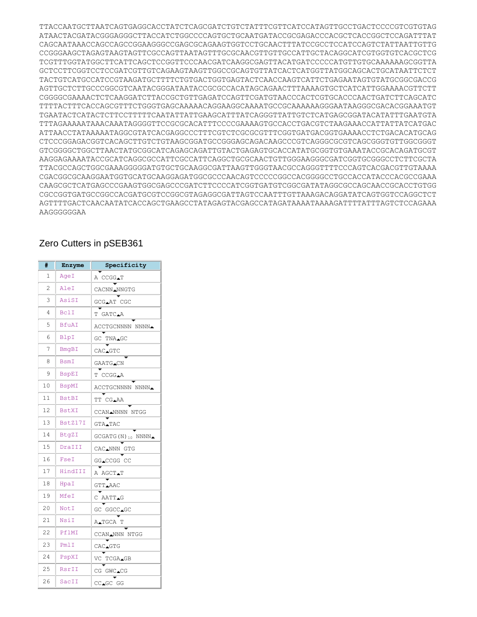TTACCAATGCTTAATCAGTGAGGCACCTATCTCAGCGATCTGTCTATTTCGTTCATCCATAGTTGCCTGACTCCCCGTCGTGTAG ATAACTACGATACGGGAGGGCTTACCATCTGGCCCCAGTGCTGCAATGATACCGCGAGACCCACGCTCACCGGCTCCAGATTTAT CAGCAATAAACCAGCCAGCCGGAAGGGCCGAGCGCAGAAGTGGTCCTGCAACTTTATCCGCCTCCATCCAGTCTATTAATTGTTG CCGGGAAGCTAGAGTAAGTAGTTCGCCAGTTAATAGTTTGCGCAACGTTGTTGCCATTGCTACAGGCATCGTGGTGTCACGCTCG TCGTTTGGTATGGCTTCATTCAGCTCCGGTTCCCAACGATCAAGGCGAGTTACATGATCCCCCATGTTGTGCAAAAAAGCGGTTA GCTCCTTCGGTCCTCCGATCGTTGTCAGAAGTAAGTTGGCCGCAGTGTTATCACTCATGGTTATGGCAGCACTGCATAATTCTCT TACTGTCATGCCATCCGTAAGATGCTTTTCTGTGACTGGTGAGTACTCAACCAAGTCATTCTGAGAATAGTGTATGCGGCGACCG AGTTGCTCTTGCCCGGCGTCAATACGGGATAATACCGCGCCACATAGCAGAACTTTAAAAGTGCTCATCATTGGAAAACGTTCTT CGGGGCGAAAACTCTCAAGGATCTTACCGCTGTTGAGATCCAGTTCGATGTAACCCACTCGTGCACCCAACTGATCTTCAGCATC TTTTACTTTCACCAGCGTTTCTGGGTGAGCAAAAACAGGAAGGCAAAATGCCGCAAAAAAGGGAATAAGGGCGACACGGAAATGT TGAATACTCATACTCTTCCTTTTTCAATATTATTGAAGCATTTATCAGGGTTATTGTCTCATGAGCGGATACATATTTGAATGTA TTTAGAAAAATAAACAAATAGGGGTTCCGCGCACATTTCCCCGAAAAGTGCCACCTGACGTCTAAGAAACCATTATTATCATGAC ATTAACCTATAAAAATAGGCGTATCACGAGGCCCTTTCGTCTCGCGCGTTTCGGTGATGACGGTGAAAACCTCTGACACATGCAG CTCCCGGAGACGGTCACAGCTTGTCTGTAAGCGGATGCCGGGAGCAGACAAGCCCGTCAGGGCGCGTCAGCGGGTGTTGGCGGGT GTCGGGGCTGGCTTAACTATGCGGCATCAGAGCAGATTGTACTGAGAGTGCACCATATGCGGTGTGAAATACCGCACAGATGCGT AAGGAGAAAATACCGCATCAGGCGCCATTCGCCATTCAGGCTGCGCAACTGTTGGGAAGGGCGATCGGTGCGGGCCTCTTCGCTA TTACGCCAGCTGGCGAAAGGGGGATGTGCTGCAAGGCGATTAAGTTGGGTAACGCCAGGGTTTTCCCAGTCACGACGTTGTAAAA CGACGGCGCAAGGAATGGTGCATGCAAGGAGATGGCGCCCAACAGTCCCCCGGCCACGGGGCCTGCCACCATACCCACGCCGAAA CAAGCGCTCATGAGCCCGAAGTGGCGAGCCCGATCTTCCCCATCGGTGATGTCGGCGATATAGGCGCCAGCAACCGCACCTGTGG CGCCGGTGATGCCGGCCACGATGCGTCCGGCGTAGAGGCGATTAGTCCAATTTGTTAAAGACAGGATATCAGTGGTCCAGGCTCT AGTTTTGACTCAACAATATCACCAGCTGAAGCCTATAGAGTACGAGCCATAGATAAAATAAAAGATTTTATTTAGTCTCCAGAAA AAGGGGGGAA

### Zero Cutters in pSEB361

| #  | Enzyme       | Specificity                  |  |  |
|----|--------------|------------------------------|--|--|
| 1  | AgeI         | A CCGGAT                     |  |  |
| 2  | AleI         | CACNN_NNGTG                  |  |  |
| 3  | AsiSI        | GCGAAT CGC                   |  |  |
| 4  | BclI         | T GATC.A                     |  |  |
| 5  | <b>BfuAI</b> | ACCTGCNNNN NNNN_             |  |  |
| 6  | BlpI         | GC<br>TNA <sub>4</sub> GC    |  |  |
| 7  | BmqBI        | CAC.GTC                      |  |  |
| 8  | BsmI         | GAATG∡CN                     |  |  |
| 9  | <b>BspEI</b> | T CCGGAA                     |  |  |
| 10 | <b>BspMI</b> | ACCTGCNNNN NNNN <del>1</del> |  |  |
| 11 | <b>BstBI</b> | TT CGAAA                     |  |  |
| 12 | <b>BstXI</b> | CCANANNNN NTGG               |  |  |
| 13 | BstZ17I      | GTA∡TAC                      |  |  |
| 14 | BtqZI        | $GCGATG(N)_{10} NNNN$        |  |  |
| 15 | DraIII       | CAC NNN GTG                  |  |  |
| 16 | FseI         | GG▲CCGG CC                   |  |  |
| 17 | HindIII      | A AGCT∡T                     |  |  |
| 18 | HpaI         | GTT_AAC                      |  |  |
| 19 | MfeI         | C<br>AATT∡G                  |  |  |
| 20 | NotI         | GC GGCC <b></b> _GC          |  |  |
| 21 | NsiI         | A∡TGCA<br>Т                  |  |  |
| 22 | PflMI        | CCAN <sup>NN</sup> N<br>NTGG |  |  |
| 23 | PmlI         | CAC▲GTG                      |  |  |
| 24 | PspXI        | VC<br>TCGA▲GB                |  |  |
| 25 | RsrII        | CG GWC.CG                    |  |  |
| 26 | SacII        | CC_GC GG                     |  |  |